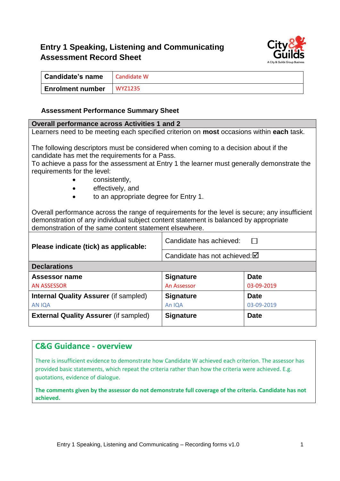# **Entry 1 Speaking, Listening and Communicating Assessment Record Sheet**



| <b>Candidate's name</b> | Candidate W    |
|-------------------------|----------------|
| <b>Enrolment number</b> | <b>WYZ1235</b> |

#### **Assessment Performance Summary Sheet**

#### **Overall performance across Activities 1 and 2**

Learners need to be meeting each specified criterion on **most** occasions within **each** task.

The following descriptors must be considered when coming to a decision about if the candidate has met the requirements for a Pass.

To achieve a pass for the assessment at Entry 1 the learner must generally demonstrate the requirements for the level:

- consistently,
- effectively, and
- to an appropriate degree for Entry 1.

Overall performance across the range of requirements for the level is secure; any insufficient demonstration of any individual subject content statement is balanced by appropriate demonstration of the same content statement elsewhere.

| Please indicate (tick) as applicable:        | Candidate has achieved:                 |             |  |  |
|----------------------------------------------|-----------------------------------------|-------------|--|--|
|                                              | Candidate has not achieved: $\boxtimes$ |             |  |  |
| <b>Declarations</b>                          |                                         |             |  |  |
| Assessor name                                | <b>Signature</b>                        | <b>Date</b> |  |  |
| <b>AN ASSESSOR</b>                           | An Assessor                             | 03-09-2019  |  |  |
| <b>Internal Quality Assurer (if sampled)</b> | <b>Signature</b>                        | <b>Date</b> |  |  |
| <b>AN IQA</b>                                | An IQA                                  | 03-09-2019  |  |  |
| <b>External Quality Assurer (if sampled)</b> | <b>Signature</b>                        | <b>Date</b> |  |  |

#### **C&G Guidance - overview**

There is insufficient evidence to demonstrate how Candidate W achieved each criterion. The assessor has provided basic statements, which repeat the criteria rather than how the criteria were achieved. E.g. quotations, evidence of dialogue.

**The comments given by the assessor do not demonstrate full coverage of the criteria. Candidate has not achieved.**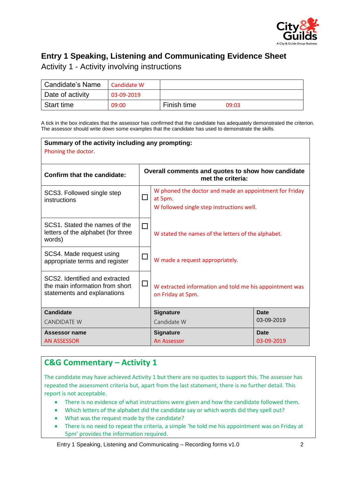

# **Entry 1 Speaking, Listening and Communicating Evidence Sheet**

Activity 1 - Activity involving instructions

| Candidate's Name | Candidate W |             |       |
|------------------|-------------|-------------|-------|
| Date of activity | 03-09-2019  |             |       |
| Start time       | 09:00       | Finish time | 09:03 |

A tick in the box indicates that the assessor has confirmed that the candidate has adequately demonstrated the criterion. The assessor should write down some examples that the candidate has used to demonstrate the skills.

| Summary of the activity including any prompting:<br>Phoning the doctor.                          |                                                                        |                                                                                                                |                    |  |
|--------------------------------------------------------------------------------------------------|------------------------------------------------------------------------|----------------------------------------------------------------------------------------------------------------|--------------------|--|
| <b>Confirm that the candidate:</b>                                                               | Overall comments and quotes to show how candidate<br>met the criteria: |                                                                                                                |                    |  |
| SCS3. Followed single step<br>instructions                                                       | $\Box$                                                                 | W phoned the doctor and made an appointment for Friday<br>at 5pm.<br>W followed single step instructions well. |                    |  |
| SCS1. Stated the names of the<br>letters of the alphabet (for three<br>words)                    | □                                                                      | W stated the names of the letters of the alphabet.                                                             |                    |  |
| SCS4. Made request using<br>appropriate terms and register                                       |                                                                        | W made a request appropriately.                                                                                |                    |  |
| SCS2. Identified and extracted<br>the main information from short<br>statements and explanations | $\Box$                                                                 | W extracted information and told me his appointment was<br>on Friday at 5pm.                                   |                    |  |
| <b>Candidate</b>                                                                                 |                                                                        | <b>Signature</b>                                                                                               | <b>Date</b>        |  |
| <b>CANDIDATE W</b>                                                                               |                                                                        | Candidate W                                                                                                    | 03-09-2019         |  |
| Assessor name<br><b>AN ASSESSOR</b>                                                              |                                                                        | <b>Signature</b><br>An Assessor                                                                                | Date<br>03-09-2019 |  |

## **C&G Commentary – Activity 1**

The candidate may have achieved Activity 1 but there are no quotes to support this. The assessor has repeated the assessment criteria but, apart from the last statement, there is no further detail. This report is not acceptable.

- There is no evidence of what instructions were given and how the candidate followed them.
- Which letters of the alphabet did the candidate say or which words did they spell out?
- What was the request made by the candidate?
- There is no need to repeat the criteria, a simple 'he told me his appointment was on Friday at 5pm' provides the information required.